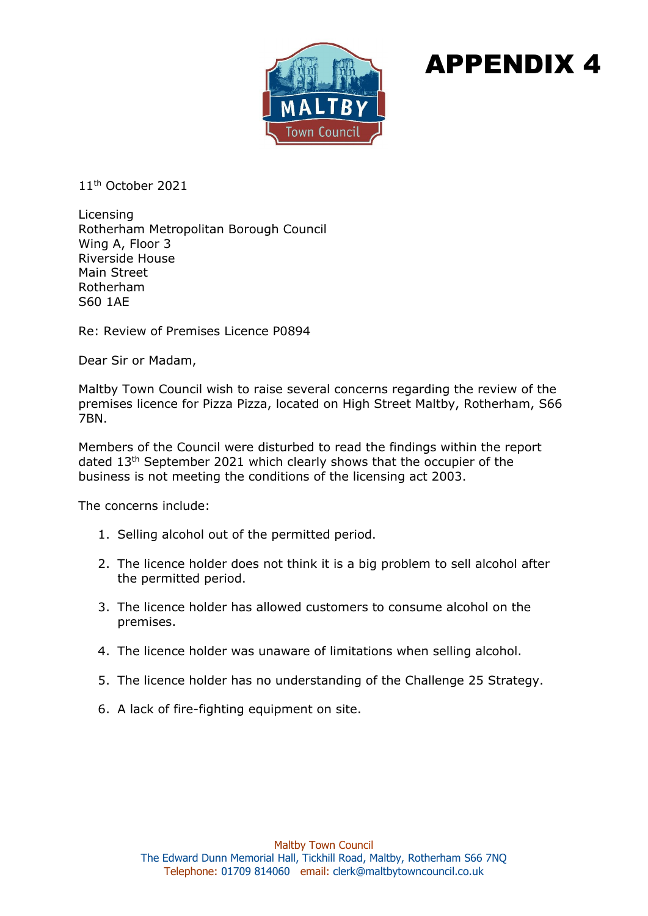

## APPENDIX 4

11th October 2021

Licensing Rotherham Metropolitan Borough Council Wing A, Floor 3 Riverside House Main Street Rotherham S60 1AE

Re: Review of Premises Licence P0894

Dear Sir or Madam,

Maltby Town Council wish to raise several concerns regarding the review of the premises licence for Pizza Pizza, located on High Street Maltby, Rotherham, S66 7BN.

Members of the Council were disturbed to read the findings within the report dated 13th September 2021 which clearly shows that the occupier of the business is not meeting the conditions of the licensing act 2003.

The concerns include:

- 1. Selling alcohol out of the permitted period.
- 2. The licence holder does not think it is a big problem to sell alcohol after the permitted period.
- 3. The licence holder has allowed customers to consume alcohol on the premises.
- 4. The licence holder was unaware of limitations when selling alcohol.
- 5. The licence holder has no understanding of the Challenge 25 Strategy.
- 6. A lack of fire-fighting equipment on site.